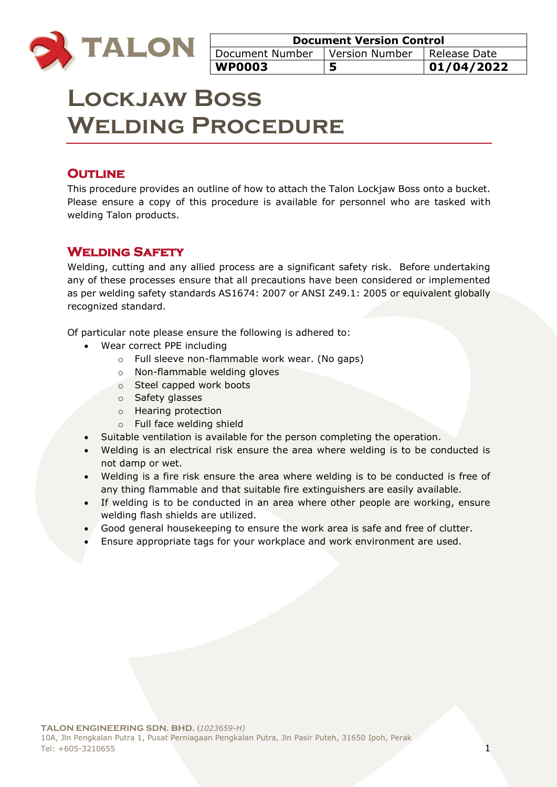

| <b>Document Version Control</b>                 |    |            |
|-------------------------------------------------|----|------------|
| Document Number   Version Number   Release Date |    |            |
| <b>WP0003</b>                                   | ×. | 01/04/2022 |

# **Lockjaw Boss Welding Procedure**

# **OUTLINE**

This procedure provides an outline of how to attach the Talon Lockjaw Boss onto a bucket. Please ensure a copy of this procedure is available for personnel who are tasked with welding Talon products.

# **Welding Safety**

Welding, cutting and any allied process are a significant safety risk. Before undertaking any of these processes ensure that all precautions have been considered or implemented as per welding safety standards AS1674: 2007 or ANSI Z49.1: 2005 or equivalent globally recognized standard.

Of particular note please ensure the following is adhered to:

- Wear correct PPE including
	- o Full sleeve non-flammable work wear. (No gaps)
	- o Non-flammable welding gloves
	- o Steel capped work boots
	- o Safety glasses
	- o Hearing protection
	- o Full face welding shield
- Suitable ventilation is available for the person completing the operation.
- Welding is an electrical risk ensure the area where welding is to be conducted is not damp or wet.
- Welding is a fire risk ensure the area where welding is to be conducted is free of any thing flammable and that suitable fire extinguishers are easily available.
- If welding is to be conducted in an area where other people are working, ensure welding flash shields are utilized.
- Good general housekeeping to ensure the work area is safe and free of clutter.
- Ensure appropriate tags for your workplace and work environment are used.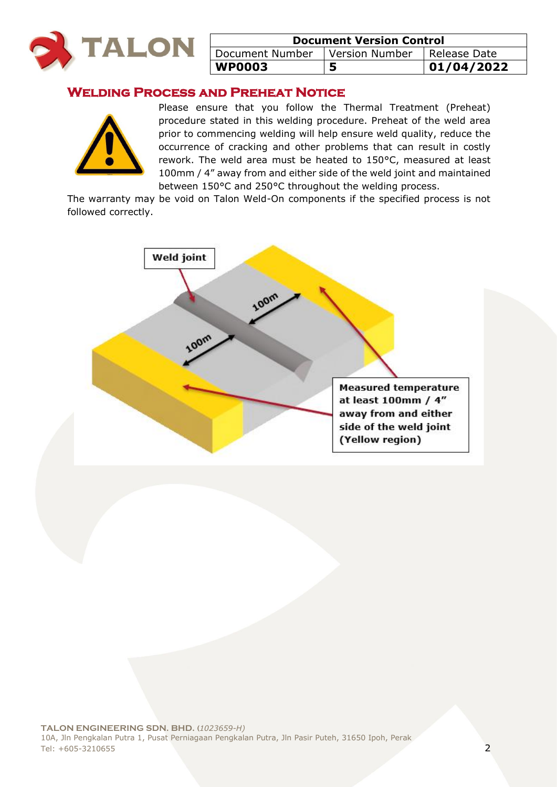

| <b>Document Version Control</b>  |  |              |
|----------------------------------|--|--------------|
| Document Number   Version Number |  | Release Date |
| <b>WP0003</b>                    |  | 01/04/2022   |

# **Welding Process and Preheat Notice**



Please ensure that you follow the Thermal Treatment (Preheat) procedure stated in this welding procedure. Preheat of the weld area prior to commencing welding will help ensure weld quality, reduce the occurrence of cracking and other problems that can result in costly rework. The weld area must be heated to 150°C, measured at least 100mm / 4" away from and either side of the weld joint and maintained between 150°C and 250°C throughout the welding process.

The warranty may be void on Talon Weld-On components if the specified process is not followed correctly.

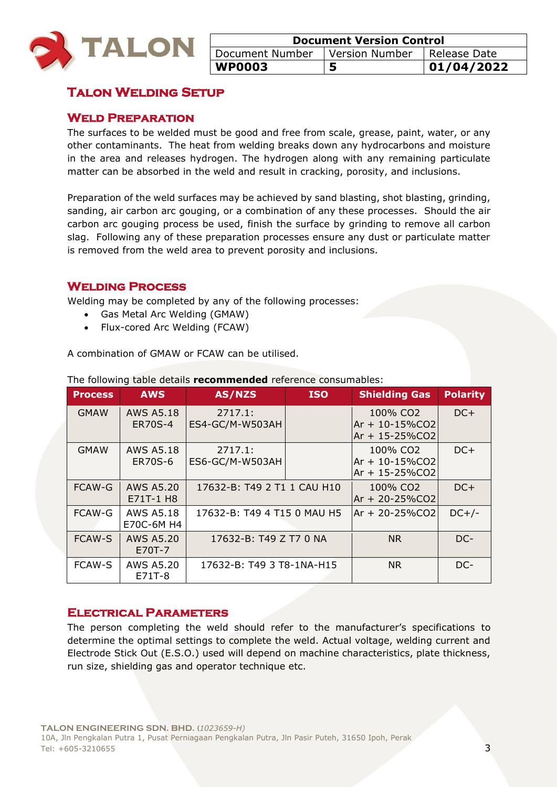

| <b>Document Version Control</b>                 |  |            |
|-------------------------------------------------|--|------------|
| Document Number   Version Number   Release Date |  |            |
| <b>WP0003</b>                                   |  | 01/04/2022 |

# **Talon Welding Setup**

#### **Weld Preparation**

The surfaces to be welded must be good and free from scale, grease, paint, water, or any other contaminants. The heat from welding breaks down any hydrocarbons and moisture in the area and releases hydrogen. The hydrogen along with any remaining particulate matter can be absorbed in the weld and result in cracking, porosity, and inclusions.

Preparation of the weld surfaces may be achieved by sand blasting, shot blasting, grinding, sanding, air carbon arc gouging, or a combination of any these processes. Should the air carbon arc gouging process be used, finish the surface by grinding to remove all carbon slag. Following any of these preparation processes ensure any dust or particulate matter is removed from the weld area to prevent porosity and inclusions.

#### **Welding Process**

Welding may be completed by any of the following processes:

- Gas Metal Arc Welding (GMAW)
- Flux-cored Arc Welding (FCAW)

A combination of GMAW or FCAW can be utilised.

| <b>Process</b> | <b>AWS</b>                         | AS/NZS                      | <b>ISO</b> | <b>Shielding Gas</b>                                                | <b>Polarity</b> |
|----------------|------------------------------------|-----------------------------|------------|---------------------------------------------------------------------|-----------------|
| <b>GMAW</b>    | <b>AWS A5.18</b><br><b>ER70S-4</b> | 2717.1:<br>ES4-GC/M-W503AH  |            | 100% CO <sub>2</sub><br>$Ar + 10 - 15\%$ CO2<br>$Ar + 15 - 25\%CO2$ | $DC+$           |
| <b>GMAW</b>    | AWS A5.18<br>ER70S-6               | 2717.1:<br>ES6-GC/M-W503AH  |            | 100% CO <sub>2</sub><br>$Ar + 10 - 15\%$ CO2<br>$Ar + 15 - 25\%CO2$ | $DC+$           |
| <b>FCAW-G</b>  | <b>AWS A5.20</b><br>E71T-1 H8      | 17632-B: T49 2 T1 1 CAU H10 |            | 100% CO2<br>$Ar + 20 - 25\%CO2$                                     | $DC+$           |
| FCAW-G         | <b>AWS A5.18</b><br>E70C-6M H4     | 17632-B: T49 4 T15 0 MAU H5 |            | $Ar + 20 - 25\%CO2$                                                 | $DC+/-$         |
| <b>FCAW-S</b>  | <b>AWS A5.20</b><br>E70T-7         | 17632-B: T49 Z T7 0 NA      |            | NR.                                                                 | DC-             |
| <b>FCAW-S</b>  | AWS A5.20<br>E71T-8                | 17632-B: T49 3 T8-1NA-H15   |            | NR.                                                                 | DC-             |

The following table details **recommended** reference consumables:

#### **Electrical Parameters**

The person completing the weld should refer to the manufacturer's specifications to determine the optimal settings to complete the weld. Actual voltage, welding current and Electrode Stick Out (E.S.O.) used will depend on machine characteristics, plate thickness, run size, shielding gas and operator technique etc.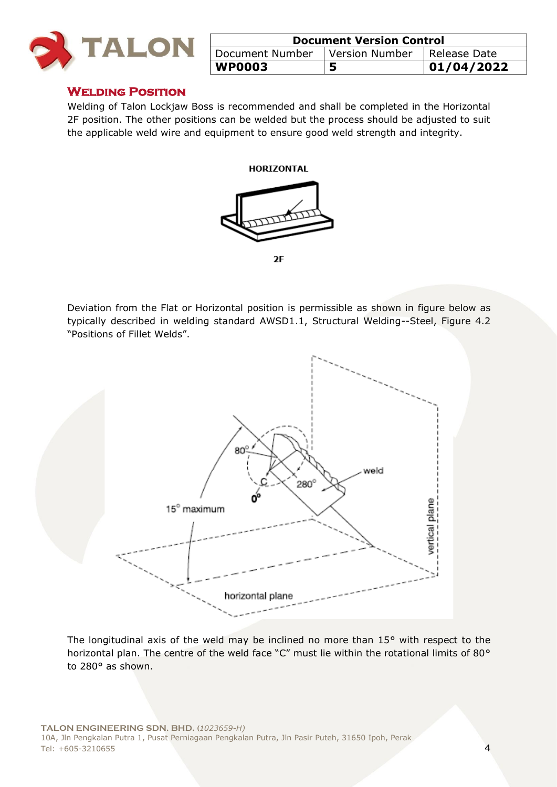

| <b>Document Version Control</b>  |  |                |
|----------------------------------|--|----------------|
| Document Number   Version Number |  | I Release Date |
| WP0003                           |  | 01/04/2022     |

#### **Welding Position**

Welding of Talon Lockjaw Boss is recommended and shall be completed in the Horizontal 2F position. The other positions can be welded but the process should be adjusted to suit the applicable weld wire and equipment to ensure good weld strength and integrity.



 $2F$ 

Deviation from the Flat or Horizontal position is permissible as shown in figure below as typically described in welding standard AWSD1.1, Structural Welding--Steel, Figure 4.2 "Positions of Fillet Welds".



The longitudinal axis of the weld may be inclined no more than 15° with respect to the horizontal plan. The centre of the weld face "C" must lie within the rotational limits of 80° to 280° as shown.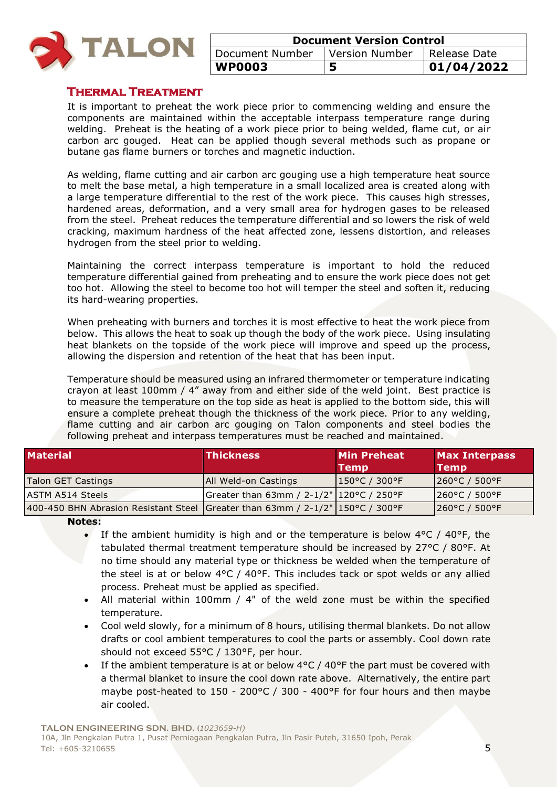

| <b>Document Version Control</b>                 |  |            |
|-------------------------------------------------|--|------------|
| Document Number   Version Number   Release Date |  |            |
| WP0003                                          |  | 01/04/2022 |

#### **Thermal Treatment**

It is important to preheat the work piece prior to commencing welding and ensure the components are maintained within the acceptable interpass temperature range during welding. Preheat is the heating of a work piece prior to being welded, flame cut, or air carbon arc gouged. Heat can be applied though several methods such as propane or butane gas flame burners or torches and magnetic induction.

As welding, flame cutting and air carbon arc gouging use a high temperature heat source to melt the base metal, a high temperature in a small localized area is created along with a large temperature differential to the rest of the work piece. This causes high stresses, hardened areas, deformation, and a very small area for hydrogen gases to be released from the steel. Preheat reduces the temperature differential and so lowers the risk of weld cracking, maximum hardness of the heat affected zone, lessens distortion, and releases hydrogen from the steel prior to welding.

Maintaining the correct interpass temperature is important to hold the reduced temperature differential gained from preheating and to ensure the work piece does not get too hot. Allowing the steel to become too hot will temper the steel and soften it, reducing its hard-wearing properties.

When preheating with burners and torches it is most effective to heat the work piece from below. This allows the heat to soak up though the body of the work piece. Using insulating heat blankets on the topside of the work piece will improve and speed up the process, allowing the dispersion and retention of the heat that has been input.

Temperature should be measured using an infrared thermometer or temperature indicating crayon at least 100mm / 4" away from and either side of the weld joint. Best practice is to measure the temperature on the top side as heat is applied to the bottom side, this will ensure a complete preheat though the thickness of the work piece. Prior to any welding, flame cutting and air carbon arc gouging on Talon components and steel bodies the following preheat and interpass temperatures must be reached and maintained.

| <b>Material</b>                                                                  | <b>Thickness</b>                         | <b>Min Preheat</b><br><b>Temp</b> | <b>Max Interpass</b><br><b>Temp</b> |
|----------------------------------------------------------------------------------|------------------------------------------|-----------------------------------|-------------------------------------|
| Talon GET Castings                                                               | <b>JAII Weld-on Castings</b>             | 150°C / 300°F                     | $ 260^{\circ}$ C / 500°F            |
| <b>ASTM A514 Steels</b>                                                          | Greater than 63mm / 2-1/2" 120°C / 250°F |                                   | $1260^{\circ}$ C / 500 $^{\circ}$ F |
| 400-450 BHN Abrasion Resistant Steel Greater than 63mm / $2-1/2$ " 150°C / 300°F |                                          |                                   | 260°C / 500°F                       |

**Notes:** 

- If the ambient humidity is high and or the temperature is below  $4^{\circ}$ C /  $40^{\circ}$ F, the tabulated thermal treatment temperature should be increased by 27°C / 80°F. At no time should any material type or thickness be welded when the temperature of the steel is at or below  $4^{\circ}C$  /  $40^{\circ}F$ . This includes tack or spot welds or any allied process. Preheat must be applied as specified.
- All material within 100mm / 4" of the weld zone must be within the specified temperature.
- Cool weld slowly, for a minimum of 8 hours, utilising thermal blankets. Do not allow drafts or cool ambient temperatures to cool the parts or assembly. Cool down rate should not exceed 55°C / 130°F, per hour.
- If the ambient temperature is at or below 4°C / 40°F the part must be covered with a thermal blanket to insure the cool down rate above. Alternatively, the entire part maybe post-heated to 150 - 200°C / 300 - 400°F for four hours and then maybe air cooled.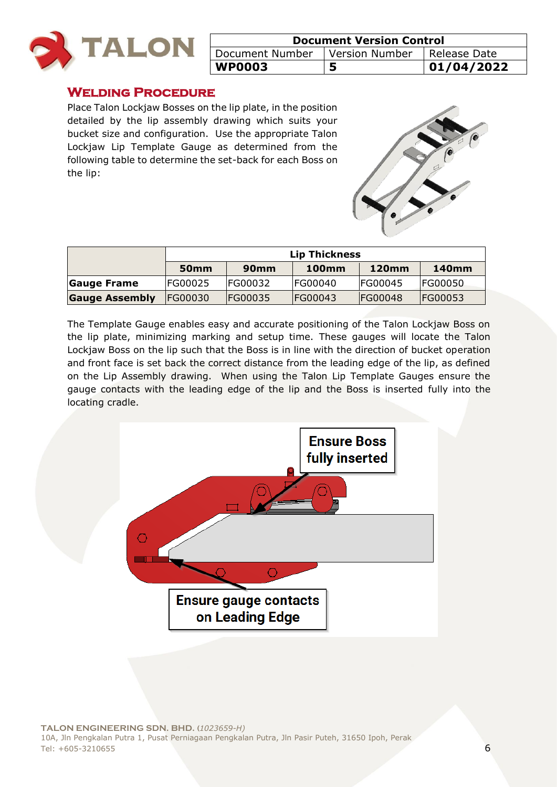

| <b>Document Version Control</b>                 |  |            |
|-------------------------------------------------|--|------------|
| Document Number   Version Number   Release Date |  |            |
| <b>WP0003</b>                                   |  | 01/04/2022 |

## **Welding Procedure**

Place Talon Lockjaw Bosses on the lip plate, in the position detailed by the lip assembly drawing which suits your bucket size and configuration. Use the appropriate Talon Lockjaw Lip Template Gauge as determined from the following table to determine the set-back for each Boss on the lip:



|                       |                  | <b>Lip Thickness</b> |                |                 |                |
|-----------------------|------------------|----------------------|----------------|-----------------|----------------|
|                       | 50 <sub>mm</sub> | 90 <sub>mm</sub>     | <b>100mm</b>   | 120mm           | 140mm          |
| <b>Gauge Frame</b>    | <b>FG00025</b>   | <b>IFG00032</b>      | <b>FG00040</b> | <b>IFG00045</b> | <b>FG00050</b> |
| <b>Gauge Assembly</b> | <b>FG00030</b>   | <b>FG00035</b>       | <b>FG00043</b> | <b>FG00048</b>  | <b>FG00053</b> |

The Template Gauge enables easy and accurate positioning of the Talon Lockjaw Boss on the lip plate, minimizing marking and setup time. These gauges will locate the Talon Lockjaw Boss on the lip such that the Boss is in line with the direction of bucket operation and front face is set back the correct distance from the leading edge of the lip, as defined on the Lip Assembly drawing. When using the Talon Lip Template Gauges ensure the gauge contacts with the leading edge of the lip and the Boss is inserted fully into the locating cradle.

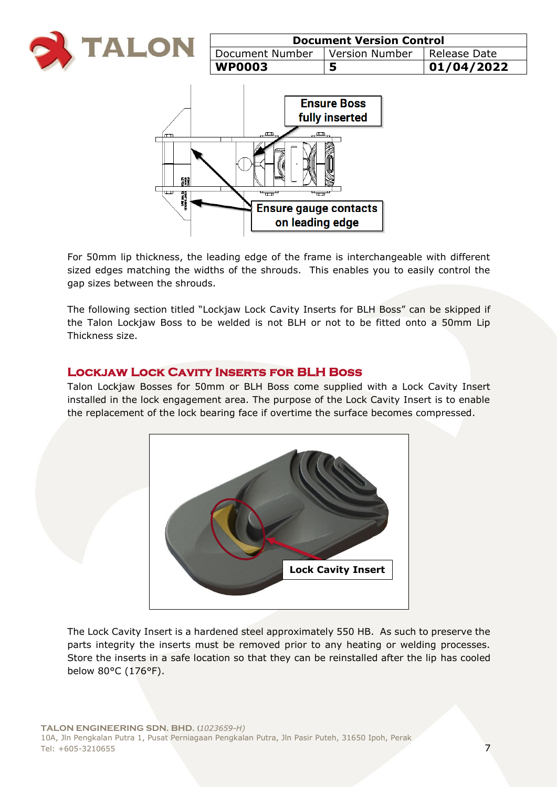

For 50mm lip thickness, the leading edge of the frame is interchangeable with different sized edges matching the widths of the shrouds. This enables you to easily control the gap sizes between the shrouds.

The following section titled "Lockjaw Lock Cavity Inserts for BLH Boss" can be skipped if the Talon Lockjaw Boss to be welded is not BLH or not to be fitted onto a 50mm Lip Thickness size.

## **Lockjaw Lock Cavity Inserts for BLH Boss**

Talon Lockjaw Bosses for 50mm or BLH Boss come supplied with a Lock Cavity Insert installed in the lock engagement area. The purpose of the Lock Cavity Insert is to enable the replacement of the lock bearing face if overtime the surface becomes compressed.



The Lock Cavity Insert is a hardened steel approximately 550 HB. As such to preserve the parts integrity the inserts must be removed prior to any heating or welding processes. Store the inserts in a safe location so that they can be reinstalled after the lip has cooled below 80°C (176°F).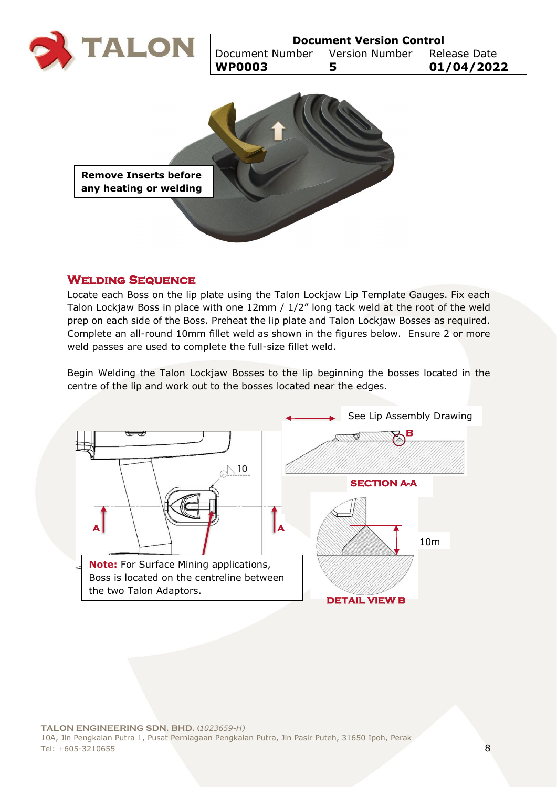

#### **Welding Sequence**

Locate each Boss on the lip plate using the Talon Lockjaw Lip Template Gauges. Fix each Talon Lockjaw Boss in place with one 12mm / 1/2" long tack weld at the root of the weld prep on each side of the Boss. Preheat the lip plate and Talon Lockjaw Bosses as required. Complete an all-round 10mm fillet weld as shown in the figures below. Ensure 2 or more weld passes are used to complete the full-size fillet weld.

Begin Welding the Talon Lockjaw Bosses to the lip beginning the bosses located in the centre of the lip and work out to the bosses located near the edges.

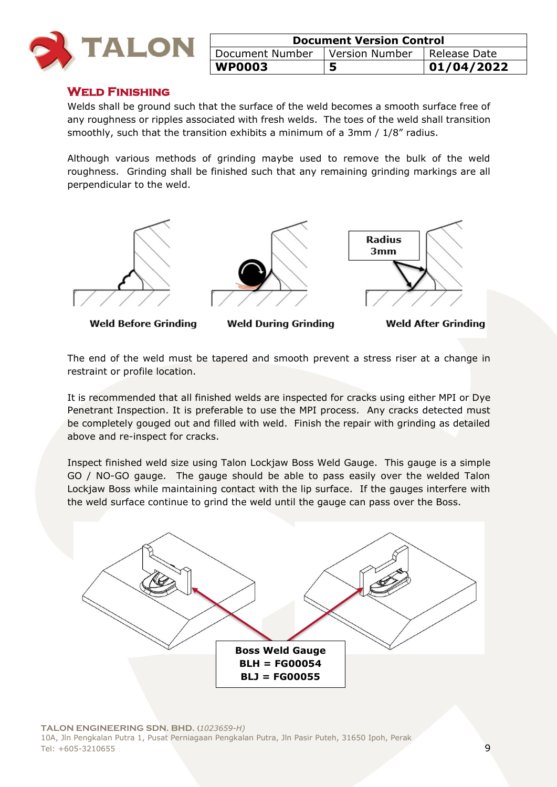

| <b>Document Version Control</b>                 |  |            |
|-------------------------------------------------|--|------------|
| Document Number   Version Number   Release Date |  |            |
| <b>WP0003</b>                                   |  | 01/04/2022 |

#### **Weld Finishing**

Welds shall be ground such that the surface of the weld becomes a smooth surface free of any roughness or ripples associated with fresh welds. The toes of the weld shall transition smoothly, such that the transition exhibits a minimum of a 3mm / 1/8" radius.

Although various methods of grinding maybe used to remove the bulk of the weld roughness. Grinding shall be finished such that any remaining grinding markings are all perpendicular to the weld.



**Weld Before Grinding** 

**Weld During Grinding** 

**Weld After Grinding** 

The end of the weld must be tapered and smooth prevent a stress riser at a change in restraint or profile location.

It is recommended that all finished welds are inspected for cracks using either MPI or Dye Penetrant Inspection. It is preferable to use the MPI process. Any cracks detected must be completely gouged out and filled with weld. Finish the repair with grinding as detailed above and re-inspect for cracks.

Inspect finished weld size using Talon Lockjaw Boss Weld Gauge. This gauge is a simple GO / NO-GO gauge. The gauge should be able to pass easily over the welded Talon Lockjaw Boss while maintaining contact with the lip surface. If the gauges interfere with the weld surface continue to grind the weld until the gauge can pass over the Boss.